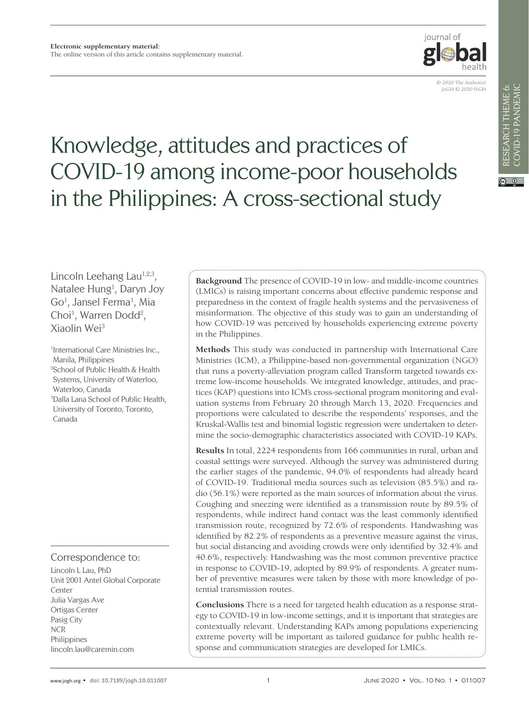

© 2020 The Author(s) JoGH © 2020 ISGH

# Knowledge, attitudes and practices of COVID-19 among income-poor households in the Philippines: A cross-sectional study

Lincoln Leehang Lau $^{1,2,3}$ , Natalee Hung<sup>1</sup>, Daryn Joy Go<sup>1</sup>, Jansel Ferma<sup>1</sup>, Mia Choi<sup>1</sup>, Warren Dodd<sup>2</sup>, Xiaolin Wei3

1 International Care Ministries Inc., Manila, Philippines 2 School of Public Health & Health Systems, University of Waterloo, Waterloo, Canada 3 Dalla Lana School of Public Health, University of Toronto, Toronto, Canada

## Correspondence to:

Lincoln L Lau, PhD Unit 2001 Antel Global Corporate Center Julia Vargas Ave Ortigas Center Pasig City NCR Philippines lincoln.lau@caremin.com

**Background** The presence of COVID-19 in low- and middle-income countries (LMICs) is raising important concerns about effective pandemic response and preparedness in the context of fragile health systems and the pervasiveness of misinformation. The objective of this study was to gain an understanding of how COVID-19 was perceived by households experiencing extreme poverty in the Philippines.

**Methods** This study was conducted in partnership with International Care Ministries (ICM), a Philippine-based non-governmental organization (NGO) that runs a poverty-alleviation program called Transform targeted towards extreme low-income households. We integrated knowledge, attitudes, and practices (KAP) questions into ICM's cross-sectional program monitoring and evaluation systems from February 20 through March 13, 2020. Frequencies and proportions were calculated to describe the respondents' responses, and the Kruskal-Wallis test and binomial logistic regression were undertaken to determine the socio-demographic characteristics associated with COVID-19 KAPs.

**Results** In total, 2224 respondents from 166 communities in rural, urban and coastal settings were surveyed. Although the survey was administered during the earlier stages of the pandemic, 94.0% of respondents had already heard of COVID-19. Traditional media sources such as television (85.5%) and radio (56.1%) were reported as the main sources of information about the virus. Coughing and sneezing were identified as a transmission route by 89.5% of respondents, while indirect hand contact was the least commonly identified transmission route, recognized by 72.6% of respondents. Handwashing was identified by 82.2% of respondents as a preventive measure against the virus, but social distancing and avoiding crowds were only identified by 32.4% and 40.6%, respectively. Handwashing was the most common preventive practice in response to COVID-19, adopted by 89.9% of respondents. A greater number of preventive measures were taken by those with more knowledge of potential transmission routes.

**Conclusions** There is a need for targeted health education as a response strategy to COVID-19 in low-income settings, and it is important that strategies are contextually relevant. Understanding KAPs among populations experiencing extreme poverty will be important as tailored guidance for public health response and communication strategies are developed for LMICs.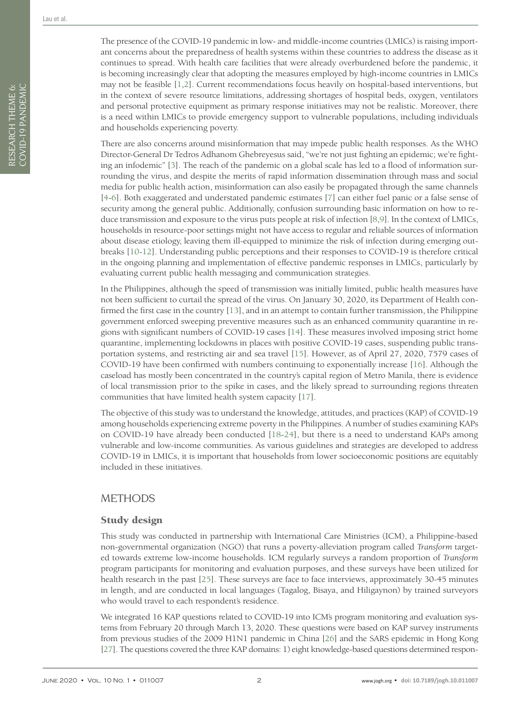There are also concerns around misinformation that may impede public health responses. As the WHO Director-General Dr Tedros Adhanom Ghebreyesus said, "we're not just fighting an epidemic; we're fighting an infodemic" [\[3](#page-9-2)]. The reach of the pandemic on a global scale has led to a flood of information surrounding the virus, and despite the merits of rapid information dissemination through mass and social media for public health action, misinformation can also easily be propagated through the same channels [[4](#page-9-3)-[6\]](#page-9-4). Both exaggerated and understated pandemic estimates [\[7](#page-9-5)] can either fuel panic or a false sense of security among the general public. Additionally, confusion surrounding basic information on how to reduce transmission and exposure to the virus puts people at risk of infection [\[8](#page-9-6)[,9\]](#page-9-7). In the context of LMICs, households in resource-poor settings might not have access to regular and reliable sources of information about disease etiology, leaving them ill-equipped to minimize the risk of infection during emerging outbreaks [\[10](#page-9-8)[-12\]](#page-9-9). Understanding public perceptions and their responses to COVID-19 is therefore critical in the ongoing planning and implementation of effective pandemic responses in LMICs, particularly by evaluating current public health messaging and communication strategies.

In the Philippines, although the speed of transmission was initially limited, public health measures have not been sufficient to curtail the spread of the virus. On January 30, 2020, its Department of Health confirmed the first case in the country [[13\]](#page-9-10), and in an attempt to contain further transmission, the Philippine government enforced sweeping preventive measures such as an enhanced community quarantine in regions with significant numbers of COVID-19 cases [[14\]](#page-9-11). These measures involved imposing strict home quarantine, implementing lockdowns in places with positive COVID-19 cases, suspending public transportation systems, and restricting air and sea travel [\[15\]](#page-9-12). However, as of April 27, 2020, 7579 cases of COVID-19 have been confirmed with numbers continuing to exponentially increase [[16\]](#page-9-13). Although the caseload has mostly been concentrated in the country's capital region of Metro Manila, there is evidence of local transmission prior to the spike in cases, and the likely spread to surrounding regions threaten communities that have limited health system capacity [\[17\]](#page-9-14).

The objective of this study was to understand the knowledge, attitudes, and practices (KAP) of COVID-19 among households experiencing extreme poverty in the Philippines. A number of studies examining KAPs on COVID-19 have already been conducted [[18-](#page-9-15)[24\]](#page-9-16), but there is a need to understand KAPs among vulnerable and low-income communities. As various guidelines and strategies are developed to address COVID-19 in LMICs, it is important that households from lower socioeconomic positions are equitably included in these initiatives.

# METHODS

## Study design

This study was conducted in partnership with International Care Ministries (ICM), a Philippine-based non-governmental organization (NGO) that runs a poverty-alleviation program called *Transform* targeted towards extreme low-income households. ICM regularly surveys a random proportion of *Transform* program participants for monitoring and evaluation purposes, and these surveys have been utilized for health research in the past [\[25\]](#page-9-17). These surveys are face to face interviews, approximately 30-45 minutes in length, and are conducted in local languages (Tagalog, Bisaya, and Hiligaynon) by trained surveyors who would travel to each respondent's residence.

We integrated 16 KAP questions related to COVID-19 into ICM's program monitoring and evaluation systems from February 20 through March 13, 2020. These questions were based on KAP survey instruments from previous studies of the 2009 H1N1 pandemic in China [\[26](#page-10-0)] and the SARS epidemic in Hong Kong [[27\]](#page-10-1). The questions covered the three KAP domains: 1) eight knowledge-based questions determined respon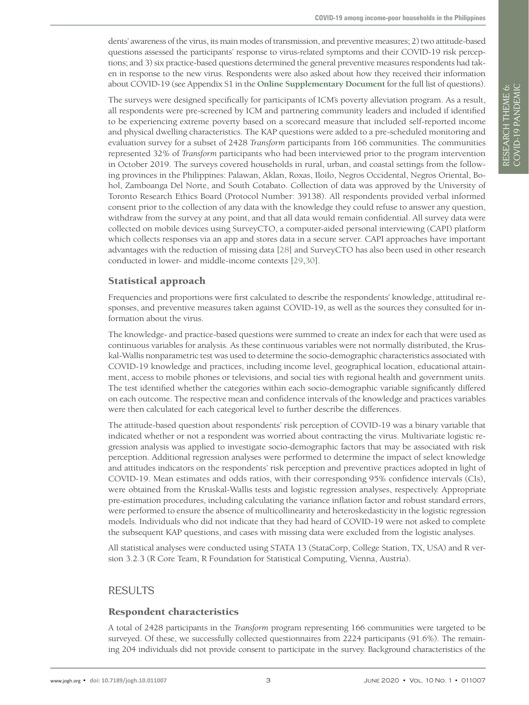dents' awareness of the virus, its main modes of transmission, and preventive measures; 2) two attitude-based questions assessed the participants' response to virus-related symptoms and their COVID-19 risk perceptions; and 3) six practice-based questions determined the general preventive measures respondents had taken in response to the new virus. Respondents were also asked about how they received their information about COVID-19 (see Appendix S1 in the **Online [Supplementary](#page-8-0) Document** for the full list of questions).

The surveys were designed specifically for participants of ICM's poverty alleviation program. As a result, all respondents were pre-screened by ICM and partnering community leaders and included if identified to be experiencing extreme poverty based on a scorecard measure that included self-reported income and physical dwelling characteristics. The KAP questions were added to a pre-scheduled monitoring and evaluation survey for a subset of 2428 *Transform* participants from 166 communities. The communities represented 32% of *Transform* participants who had been interviewed prior to the program intervention in October 2019. The surveys covered households in rural, urban, and coastal settings from the following provinces in the Philippines: Palawan, Aklan, Roxas, Iloilo, Negros Occidental, Negros Oriental, Bohol, Zamboanga Del Norte, and South Cotabato. Collection of data was approved by the University of Toronto Research Ethics Board (Protocol Number: 39138). All respondents provided verbal informed consent prior to the collection of any data with the knowledge they could refuse to answer any question, withdraw from the survey at any point, and that all data would remain confidential. All survey data were collected on mobile devices using SurveyCTO, a computer-aided personal interviewing (CAPI) platform which collects responses via an app and stores data in a secure server. CAPI approaches have important advantages with the reduction of missing data [\[28\]](#page-10-2) and SurveyCTO has also been used in other research conducted in lower- and middle-income contexts [[29](#page-10-3),[30\]](#page-10-4).

## Statistical approach

Frequencies and proportions were first calculated to describe the respondents' knowledge, attitudinal responses, and preventive measures taken against COVID-19, as well as the sources they consulted for information about the virus.

The knowledge- and practice-based questions were summed to create an index for each that were used as continuous variables for analysis. As these continuous variables were not normally distributed, the Kruskal-Wallis nonparametric test was used to determine the socio-demographic characteristics associated with COVID-19 knowledge and practices, including income level, geographical location, educational attainment, access to mobile phones or televisions, and social ties with regional health and government units. The test identified whether the categories within each socio-demographic variable significantly differed on each outcome. The respective mean and confidence intervals of the knowledge and practices variables were then calculated for each categorical level to further describe the differences.

The attitude-based question about respondents' risk perception of COVID-19 was a binary variable that indicated whether or not a respondent was worried about contracting the virus. Multivariate logistic regression analysis was applied to investigate socio-demographic factors that may be associated with risk perception. Additional regression analyses were performed to determine the impact of select knowledge and attitudes indicators on the respondents' risk perception and preventive practices adopted in light of COVID-19. Mean estimates and odds ratios, with their corresponding 95% confidence intervals (CIs), were obtained from the Kruskal-Wallis tests and logistic regression analyses, respectively. Appropriate pre-estimation procedures, including calculating the variance inflation factor and robust standard errors, were performed to ensure the absence of multicollinearity and heteroskedasticity in the logistic regression models. Individuals who did not indicate that they had heard of COVID-19 were not asked to complete the subsequent KAP questions, and cases with missing data were excluded from the logistic analyses.

All statistical analyses were conducted using STATA 13 (StataCorp, College Station, TX, USA) and R version 3.2.3 (R Core Team, R Foundation for Statistical Computing, Vienna, Austria).

## RESULTS

#### Respondent characteristics

A total of 2428 participants in the *Transform* program representing 166 communities were targeted to be surveyed. Of these, we successfully collected questionnaires from 2224 participants (91.6%). The remaining 204 individuals did not provide consent to participate in the survey. Background characteristics of the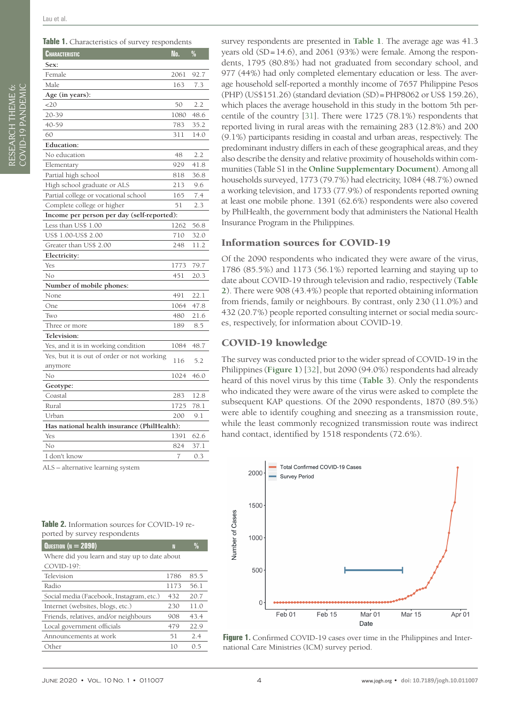<span id="page-3-0"></span>

|  | Table 1. Characteristics of survey respondents |  |
|--|------------------------------------------------|--|
|  |                                                |  |

| Characteristic                              | No.  | $\%$ |
|---------------------------------------------|------|------|
| Sex:                                        |      |      |
| Female                                      | 2061 | 92.7 |
| Male                                        | 163  | 7.3  |
| Age (in years):                             |      |      |
| 20                                          | 50   | 2.2  |
| 20-39                                       | 1080 | 48.6 |
| 40-59                                       | 783  | 35.2 |
| 60                                          | 311  | 14.0 |
| <b>Education:</b>                           |      |      |
| No education                                | 48   | 2.2  |
| Elementary                                  | 929  | 41.8 |
| Partial high school                         | 818  | 36.8 |
| High school graduate or ALS                 | 213  | 9.6  |
| Partial college or vocational school        | 165  | 7.4  |
| Complete college or higher                  | 51   | 2.3  |
| Income per person per day (self-reported):  |      |      |
| Less than US\$ 1.00                         | 1262 | 56.8 |
| US\$ 1.00-US\$ 2.00                         | 710  | 32.0 |
| Greater than US\$ 2.00                      | 248  | 11.2 |
| Electricity:                                |      |      |
| Yes                                         | 1773 | 79.7 |
| No                                          | 451  | 20.3 |
| Number of mobile phones:                    |      |      |
| None                                        | 491  | 22.1 |
| One                                         | 1064 | 47.8 |
| Two                                         | 480  | 21.6 |
| Three or more                               | 189  | 8.5  |
| Television:                                 |      |      |
| Yes, and it is in working condition         | 1084 | 48.7 |
| Yes, but it is out of order or not working  | 116  | 5.2  |
| anymore                                     |      |      |
| No                                          | 1024 | 46.0 |
| Geotype:                                    |      |      |
| Coastal                                     | 283  | 12.8 |
| Rural                                       | 1725 | 78.1 |
| Urban                                       | 200  | 9.1  |
| Has national health insurance (PhilHealth): |      |      |
| Yes                                         | 1391 | 62.6 |
| No                                          | 824  | 37.1 |
| I don't know                                | 7    | 0.3  |
| ALS – alternative learning svstem           |      |      |

<span id="page-3-1"></span>

| <b>Table 2.</b> Information sources for COVID-19 re- |  |
|------------------------------------------------------|--|
| ported by survey respondents                         |  |

| QUESTION ( $N = 2090$ )                       | Ν    | $\frac{0}{n}$ |  |  |  |  |
|-----------------------------------------------|------|---------------|--|--|--|--|
| Where did you learn and stay up to date about |      |               |  |  |  |  |
| COVID-19?:                                    |      |               |  |  |  |  |
| Television                                    | 1786 | 85.5          |  |  |  |  |
| Radio                                         | 1173 | 56.1          |  |  |  |  |
| Social media (Facebook, Instagram, etc.)      | 432  | 20.7          |  |  |  |  |
| Internet (websites, blogs, etc.)              | 230  | 11.0          |  |  |  |  |
| Friends, relatives, and/or neighbours         | 908  | 43.4          |  |  |  |  |
| Local government officials                    | 479  | 22.9          |  |  |  |  |
| Announcements at work                         | 51   | 2.4           |  |  |  |  |
| Other                                         | 10   | () 5          |  |  |  |  |

survey respondents are presented in **[Table](#page-3-0) 1**. The average age was 41.3 years old (SD=14.6), and 2061 (93%) were female. Among the respondents, 1795 (80.8%) had not graduated from secondary school, and 977 (44%) had only completed elementary education or less. The average household self-reported a monthly income of 7657 Philippine Pesos (PHP) (US\$151.26) (standard deviation (SD)=PHP8062 or US\$ 159.26), which places the average household in this study in the bottom 5th percentile of the country [\[31](#page-10-5)]. There were 1725 (78.1%) respondents that reported living in rural areas with the remaining 283 (12.8%) and 200 (9.1%) participants residing in coastal and urban areas, respectively. The predominant industry differs in each of these geographical areas, and they also describe the density and relative proximity of households within communities (Table S1 in the **Online [Supplementary](#page-8-0) Document**). Among all households surveyed, 1773 (79.7%) had electricity, 1084 (48.7%) owned a working television, and 1733 (77.9%) of respondents reported owning at least one mobile phone. 1391 (62.6%) respondents were also covered by PhilHealth, the government body that administers the National Health Insurance Program in the Philippines.

#### Information sources for COVID-19

Of the 2090 respondents who indicated they were aware of the virus, 1786 (85.5%) and 1173 (56.1%) reported learning and staying up to date about COVID-19 through television and radio, respectively (**[Table](#page-3-1) [2](#page-3-1)**). There were 908 (43.4%) people that reported obtaining information from friends, family or neighbours. By contrast, only 230 (11.0%) and 432 (20.7%) people reported consulting internet or social media sources, respectively, for information about COVID-19.

#### COVID-19 knowledge

The survey was conducted prior to the wider spread of COVID-19 in the Philippines (**[Figure](#page-3-2) 1**) [[32](#page-10-6)], but 2090 (94.0%) respondents had already heard of this novel virus by this time (**[Table](#page-4-0) 3**). Only the respondents who indicated they were aware of the virus were asked to complete the subsequent KAP questions. Of the 2090 respondents, 1870 (89.5%) were able to identify coughing and sneezing as a transmission route, while the least commonly recognized transmission route was indirect hand contact, identified by 1518 respondents (72.6%).

<span id="page-3-2"></span>

Figure 1. Confirmed COVID-19 cases over time in the Philippines and International Care Ministries (ICM) survey period.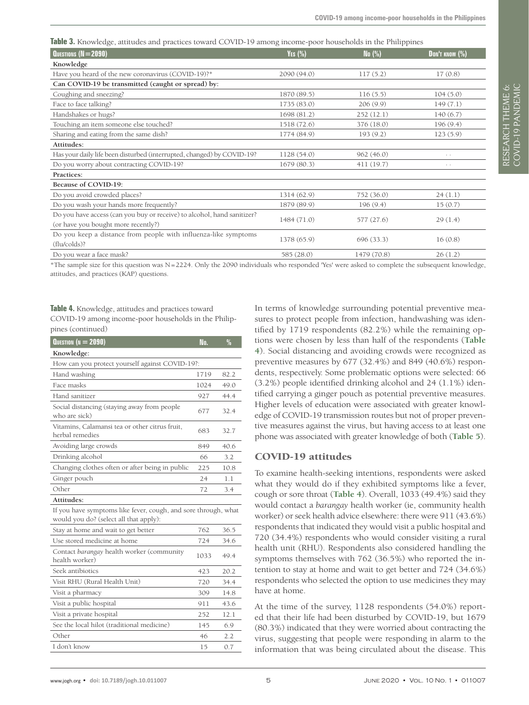RESEARCH THEME 6: VIEWPOINTS COVID-19 PANDEMIC

RESEARCH THEME 6:<br>COVID-19 PANDEMIC

<span id="page-4-0"></span>**Table 3.** Knowledge, attitudes and practices toward COVID-19 among income-poor households in the Philippines

| QUESTIONS (N = 2090)                                                    | YES $(\%)$  | No $(\%)$   | DON'T KNOW (%)  |
|-------------------------------------------------------------------------|-------------|-------------|-----------------|
| Knowledge                                                               |             |             |                 |
| Have you heard of the new coronavirus (COVID-19)?*                      | 2090 (94.0) | 117(5.2)    | 17(0.8)         |
| Can COVID-19 be transmitted (caught or spread) by:                      |             |             |                 |
| Coughing and sneezing?                                                  | 1870 (89.5) | 116(5.5)    | 104(5.0)        |
| Face to face talking?                                                   | 1735 (83.0) | 206(9.9)    | 149(7.1)        |
| Handshakes or hugs?                                                     | 1698 (81.2) | 252(12.1)   | 140(6.7)        |
| Touching an item someone else touched?                                  | 1518 (72.6) | 376 (18.0)  | 196(9.4)        |
| Sharing and eating from the same dish?                                  | 1774 (84.9) | 193(9.2)    | 123(5.9)        |
| Attitudes:                                                              |             |             |                 |
| Has your daily life been disturbed (interrupted, changed) by COVID-19?  | 1128 (54.0) | 962(46.0)   | $\cdot$ $\cdot$ |
| Do you worry about contracting COVID-19?                                | 1679 (80.3) | 411 (19.7)  | $\cdot$ $\cdot$ |
| Practices:                                                              |             |             |                 |
| Because of COVID-19:                                                    |             |             |                 |
| Do you avoid crowded places?                                            | 1314 (62.9) | 752 (36.0)  | 24(1.1)         |
| Do you wash your hands more frequently?                                 | 1879 (89.9) | 196(9.4)    | 15(0.7)         |
| Do you have access (can you buy or receive) to alcohol, hand sanitizer? | 1484 (71.0) | 577 (27.6)  | 29(1.4)         |
| (or have you bought more recently?)                                     |             |             |                 |
| Do you keep a distance from people with influenza-like symptoms         | 1378 (65.9) | 696 (33.3)  | 16(0.8)         |
| (flu/colds)?                                                            |             |             |                 |
| Do you wear a face mask?                                                | 585 (28.0)  | 1479 (70.8) | 26(1.2)         |

\*The sample size for this question was N=2224. Only the 2090 individuals who responded 'Yes' were asked to complete the subsequent knowledge, attitudes, and practices (KAP) questions.

<span id="page-4-1"></span>**Table 4.** Knowledge, attitudes and practices toward COVID-19 among income-poor households in the Philippines (continued)

| Knowledge:<br>How can you protect yourself against COVID-19?:<br>Hand washing<br>82.2<br>1719<br>Face masks<br>49.0<br>1024<br>Hand sanitizer<br>927<br>44.4<br>Social distancing (staying away from people<br>677<br>32.4<br>who are sick)<br>Vitamins, Calamansi tea or other citrus fruit,<br>683<br>32.7<br>herbal remedies<br>Avoiding large crowds<br>849<br>40.6<br>Drinking alcohol<br>66<br>3.2<br>Changing clothes often or after being in public<br>225<br>10.8<br>Ginger pouch<br>1.1<br>24<br>Other<br>3.4<br>72<br>Attitudes:<br>If you have symptoms like fever, cough, and sore through, what<br>would you do? (select all that apply):<br>762<br>36.5<br>Stay at home and wait to get better<br>Use stored medicine at home<br>724<br>34.6<br>Contact barangay health worker (community<br>1033<br>49.4<br>health worker)<br>Seek antibiotics<br>423<br>20.2<br>Visit RHU (Rural Health Unit)<br>34.4<br>720<br>309<br>14.8<br>Visit a pharmacy<br>911<br>43.6<br>Visit a public hospital<br>Visit a private hospital<br>252<br>12.1<br>See the local hilot (traditional medicine)<br>145<br>6.9<br>Other<br>2.2<br>46<br>I don't know<br>0.7<br>15 | QUESTION (N $= 2090$ ) | No. | $\frac{0}{0}$ |  |  |  |  |  |
|----------------------------------------------------------------------------------------------------------------------------------------------------------------------------------------------------------------------------------------------------------------------------------------------------------------------------------------------------------------------------------------------------------------------------------------------------------------------------------------------------------------------------------------------------------------------------------------------------------------------------------------------------------------------------------------------------------------------------------------------------------------------------------------------------------------------------------------------------------------------------------------------------------------------------------------------------------------------------------------------------------------------------------------------------------------------------------------------------------------------------------------------------------------------|------------------------|-----|---------------|--|--|--|--|--|
|                                                                                                                                                                                                                                                                                                                                                                                                                                                                                                                                                                                                                                                                                                                                                                                                                                                                                                                                                                                                                                                                                                                                                                      |                        |     |               |  |  |  |  |  |
|                                                                                                                                                                                                                                                                                                                                                                                                                                                                                                                                                                                                                                                                                                                                                                                                                                                                                                                                                                                                                                                                                                                                                                      |                        |     |               |  |  |  |  |  |
|                                                                                                                                                                                                                                                                                                                                                                                                                                                                                                                                                                                                                                                                                                                                                                                                                                                                                                                                                                                                                                                                                                                                                                      |                        |     |               |  |  |  |  |  |
|                                                                                                                                                                                                                                                                                                                                                                                                                                                                                                                                                                                                                                                                                                                                                                                                                                                                                                                                                                                                                                                                                                                                                                      |                        |     |               |  |  |  |  |  |
|                                                                                                                                                                                                                                                                                                                                                                                                                                                                                                                                                                                                                                                                                                                                                                                                                                                                                                                                                                                                                                                                                                                                                                      |                        |     |               |  |  |  |  |  |
|                                                                                                                                                                                                                                                                                                                                                                                                                                                                                                                                                                                                                                                                                                                                                                                                                                                                                                                                                                                                                                                                                                                                                                      |                        |     |               |  |  |  |  |  |
|                                                                                                                                                                                                                                                                                                                                                                                                                                                                                                                                                                                                                                                                                                                                                                                                                                                                                                                                                                                                                                                                                                                                                                      |                        |     |               |  |  |  |  |  |
|                                                                                                                                                                                                                                                                                                                                                                                                                                                                                                                                                                                                                                                                                                                                                                                                                                                                                                                                                                                                                                                                                                                                                                      |                        |     |               |  |  |  |  |  |
|                                                                                                                                                                                                                                                                                                                                                                                                                                                                                                                                                                                                                                                                                                                                                                                                                                                                                                                                                                                                                                                                                                                                                                      |                        |     |               |  |  |  |  |  |
|                                                                                                                                                                                                                                                                                                                                                                                                                                                                                                                                                                                                                                                                                                                                                                                                                                                                                                                                                                                                                                                                                                                                                                      |                        |     |               |  |  |  |  |  |
|                                                                                                                                                                                                                                                                                                                                                                                                                                                                                                                                                                                                                                                                                                                                                                                                                                                                                                                                                                                                                                                                                                                                                                      |                        |     |               |  |  |  |  |  |
|                                                                                                                                                                                                                                                                                                                                                                                                                                                                                                                                                                                                                                                                                                                                                                                                                                                                                                                                                                                                                                                                                                                                                                      |                        |     |               |  |  |  |  |  |
|                                                                                                                                                                                                                                                                                                                                                                                                                                                                                                                                                                                                                                                                                                                                                                                                                                                                                                                                                                                                                                                                                                                                                                      |                        |     |               |  |  |  |  |  |
|                                                                                                                                                                                                                                                                                                                                                                                                                                                                                                                                                                                                                                                                                                                                                                                                                                                                                                                                                                                                                                                                                                                                                                      |                        |     |               |  |  |  |  |  |
|                                                                                                                                                                                                                                                                                                                                                                                                                                                                                                                                                                                                                                                                                                                                                                                                                                                                                                                                                                                                                                                                                                                                                                      |                        |     |               |  |  |  |  |  |
|                                                                                                                                                                                                                                                                                                                                                                                                                                                                                                                                                                                                                                                                                                                                                                                                                                                                                                                                                                                                                                                                                                                                                                      |                        |     |               |  |  |  |  |  |
|                                                                                                                                                                                                                                                                                                                                                                                                                                                                                                                                                                                                                                                                                                                                                                                                                                                                                                                                                                                                                                                                                                                                                                      |                        |     |               |  |  |  |  |  |
|                                                                                                                                                                                                                                                                                                                                                                                                                                                                                                                                                                                                                                                                                                                                                                                                                                                                                                                                                                                                                                                                                                                                                                      |                        |     |               |  |  |  |  |  |
|                                                                                                                                                                                                                                                                                                                                                                                                                                                                                                                                                                                                                                                                                                                                                                                                                                                                                                                                                                                                                                                                                                                                                                      |                        |     |               |  |  |  |  |  |
|                                                                                                                                                                                                                                                                                                                                                                                                                                                                                                                                                                                                                                                                                                                                                                                                                                                                                                                                                                                                                                                                                                                                                                      |                        |     |               |  |  |  |  |  |
|                                                                                                                                                                                                                                                                                                                                                                                                                                                                                                                                                                                                                                                                                                                                                                                                                                                                                                                                                                                                                                                                                                                                                                      |                        |     |               |  |  |  |  |  |
|                                                                                                                                                                                                                                                                                                                                                                                                                                                                                                                                                                                                                                                                                                                                                                                                                                                                                                                                                                                                                                                                                                                                                                      |                        |     |               |  |  |  |  |  |
|                                                                                                                                                                                                                                                                                                                                                                                                                                                                                                                                                                                                                                                                                                                                                                                                                                                                                                                                                                                                                                                                                                                                                                      |                        |     |               |  |  |  |  |  |
|                                                                                                                                                                                                                                                                                                                                                                                                                                                                                                                                                                                                                                                                                                                                                                                                                                                                                                                                                                                                                                                                                                                                                                      |                        |     |               |  |  |  |  |  |
|                                                                                                                                                                                                                                                                                                                                                                                                                                                                                                                                                                                                                                                                                                                                                                                                                                                                                                                                                                                                                                                                                                                                                                      |                        |     |               |  |  |  |  |  |

In terms of knowledge surrounding potential preventive measures to protect people from infection, handwashing was identified by 1719 respondents (82.2%) while the remaining options were chosen by less than half of the respondents (**[Table](#page-4-1) [4](#page-4-1)**). Social distancing and avoiding crowds were recognized as preventive measures by 677 (32.4%) and 849 (40.6%) respondents, respectively. Some problematic options were selected: 66 (3.2%) people identified drinking alcohol and 24 (1.1%) identified carrying a ginger pouch as potential preventive measures. Higher levels of education were associated with greater knowledge of COVID-19 transmission routes but not of proper preventive measures against the virus, but having access to at least one phone was associated with greater knowledge of both (**[Table](#page-5-0) 5**).

#### COVID-19 attitudes

To examine health-seeking intentions, respondents were asked what they would do if they exhibited symptoms like a fever, cough or sore throat (**[Table](#page-4-1) 4**). Overall, 1033 (49.4%) said they would contact a *barangay* health worker (ie, community health worker) or seek health advice elsewhere: there were 911 (43.6%) respondents that indicated they would visit a public hospital and 720 (34.4%) respondents who would consider visiting a rural health unit (RHU). Respondents also considered handling the symptoms themselves with 762 (36.5%) who reported the intention to stay at home and wait to get better and 724 (34.6%) respondents who selected the option to use medicines they may have at home.

At the time of the survey, 1128 respondents (54.0%) reported that their life had been disturbed by COVID-19, but 1679 (80.3%) indicated that they were worried about contracting the virus, suggesting that people were responding in alarm to the information that was being circulated about the disease. This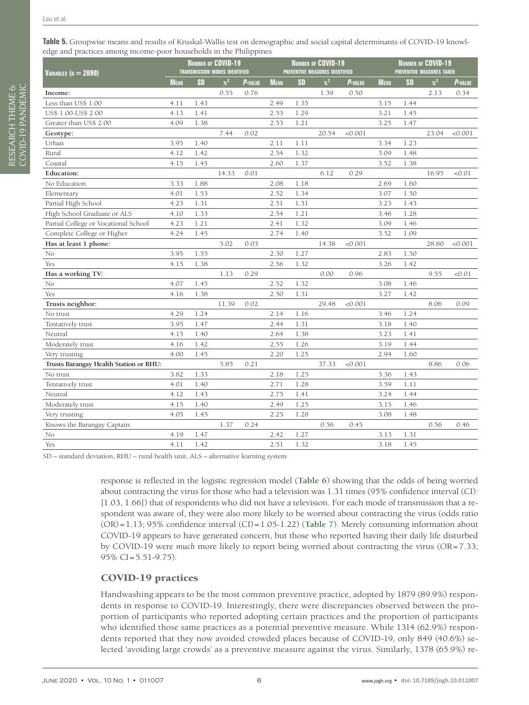<span id="page-5-0"></span>**Table 5.** Groupwise means and results of Kruskal-Wallis test on demographic and social capital determinants of COVID-19 knowledge and practices among income-poor households in the Philippines

| Variables (n $= 2090$ )                | <b>NUMBER OF COVID-19</b><br><b>TRANSMISSION MODES IDENTIFIED</b> |           |                | <b>NUMBER OF COVID-19</b><br>PREVENTIVE MEASURES IDENTIFIED |             |           |                | <b>NUMBER OF COVID-19</b><br><b>PREVENTIVE MEASURES TAKEN</b> |             |           |                |                 |
|----------------------------------------|-------------------------------------------------------------------|-----------|----------------|-------------------------------------------------------------|-------------|-----------|----------------|---------------------------------------------------------------|-------------|-----------|----------------|-----------------|
|                                        | <b>MEAN</b>                                                       | <b>SD</b> | $\mathbf{x}^2$ | P-VALUE                                                     | <b>MEAN</b> | <b>SD</b> | $\mathbf{x}^2$ | <b>P-</b> VALUE                                               | <b>MEAN</b> | <b>SD</b> | $\mathbf{x}^2$ | <b>P-</b> VALUE |
| Income:                                |                                                                   |           | 0.55           | 0.76                                                        |             |           | 1.39           | 0.50                                                          |             |           | 2.13           | 0.34            |
| Less than US\$ 1.00                    | 4.11                                                              | 1.43      |                |                                                             | 2.49        | 1.35      |                |                                                               | 3.15        | 1.44      |                |                 |
| US\$ 1.00-US\$ 2.00                    | 4.13                                                              | 1.41      |                |                                                             | 2.53        | 1.29      |                |                                                               | 3.21        | 1.45      |                |                 |
| Greater than US\$ 2.00                 | 4.09                                                              | 1.38      |                |                                                             | 2.53        | 1.21      |                |                                                               | 3.25        | 1.47      |                |                 |
| Geotype:                               |                                                                   |           | 7.44           | 0.02                                                        |             |           | 20.54          | < 0.001                                                       |             |           | 23.04          | < 0.001         |
| Urban                                  | 3.95                                                              | 1.40      |                |                                                             | 2.11        | 1.11      |                |                                                               | 3.34        | 1.23      |                |                 |
| Rural                                  | 4.12                                                              | 1.42      |                |                                                             | 2.54        | 1.32      |                |                                                               | 3.09        | 1.48      |                |                 |
| Coastal                                | 4.15                                                              | 1.45      |                |                                                             | 2.60        | 1.37      |                |                                                               | 3.52        | 1.38      |                |                 |
| <b>Education:</b>                      |                                                                   |           | 14.33          | 0.01                                                        |             |           | 6.12           | 0.29                                                          |             |           | 16.95          | < 0.01          |
| No Education                           | 3.33                                                              | 1.88      |                |                                                             | 2.08        | 1.18      |                |                                                               | 2.69        | 1.60      |                |                 |
| Elementary                             | 4.01                                                              | 1.53      |                |                                                             | 2.52        | 1.34      |                |                                                               | 3.07        | 1.50      |                |                 |
| Partial High School                    | 4.23                                                              | 1.31      |                |                                                             | 2.51        | 1.31      |                |                                                               | 3.23        | 1.43      |                |                 |
| High School Graduate or ALS            | 4.10                                                              | 1.33      |                |                                                             | 2.54        | 1.21      |                |                                                               | 3.46        | 1.28      |                |                 |
| Partial College or Vocational School   | 4.23                                                              | 1.21      |                |                                                             | 2.41        | 1.32      |                |                                                               | 3.09        | 1.46      |                |                 |
| Complete College or Higher             | 4.24                                                              | 1.45      |                |                                                             | 2.74        | 1.40      |                |                                                               | 3.52        | 1.09      |                |                 |
| Has at least 1 phone:                  |                                                                   |           | 5.02           | 0.03                                                        |             |           | 14.38          | < 0.001                                                       |             |           | 28.80          | < 0.001         |
| No                                     | 3.95                                                              | 1.55      |                |                                                             | 2.30        | 1.27      |                |                                                               | 2.83        | 1.50      |                |                 |
| Yes                                    | 4.15                                                              | 1.38      |                |                                                             | 2.56        | 1.32      |                |                                                               | 3.26        | 1.42      |                |                 |
| Has a working TV:                      |                                                                   |           | 1.13           | 0.29                                                        |             |           | 0.00           | 0.96                                                          |             |           | 9.55           | < 0.01          |
| No                                     | 4.07                                                              | 1.45      |                |                                                             | 2.52        | 1.32      |                |                                                               | 3.08        | 1.46      |                |                 |
| Yes                                    | 4.16                                                              | 1.38      |                |                                                             | 2.50        | 1.31      |                |                                                               | 3.27        | 1.42      |                |                 |
| Trusts neighbor:                       |                                                                   |           | 11.39          | 0.02                                                        |             |           | 29.48          | < 0.001                                                       |             |           | 8.06           | 0.09            |
| No trust                               | 4.29                                                              | 1.24      |                |                                                             | 2.14        | 1.16      |                |                                                               | 3.46        | 1.24      |                |                 |
| Tentatively trust                      | 3.95                                                              | 1.47      |                |                                                             | 2.44        | 1.31      |                |                                                               | 3.18        | 1.40      |                |                 |
| Neutral                                | 4.15                                                              | 1.40      |                |                                                             | 2.64        | 1.38      |                |                                                               | 3.23        | 1.41      |                |                 |
| Moderately trust                       | 4.16                                                              | 1.42      |                |                                                             | 2.55        | 1.26      |                |                                                               | 3.19        | 1.44      |                |                 |
| Very trusting                          | 4.00                                                              | 1.45      |                |                                                             | 2.20        | 1.25      |                |                                                               | 2.94        | 1.60      |                |                 |
| Trusts Barangay Health Station or RHU: |                                                                   |           | 5.85           | 0.21                                                        |             |           | 37.33          | < 0.001                                                       |             |           | 8.86           | 0.06            |
| No trust                               | 3.82                                                              | 1.33      |                |                                                             | 2.18        | 1.25      |                |                                                               | 3.36        | 1.43      |                |                 |
| Tentatively trust                      | 4.01                                                              | 1.40      |                |                                                             | 2.71        | 1.28      |                |                                                               | 3.59        | 1.11      |                |                 |
| Neutral                                | 4.12                                                              | 1.43      |                |                                                             | 2.75        | 1.41      |                |                                                               | 3.24        | 1.44      |                |                 |
| Moderately trust                       | 4.15                                                              | 1.40      |                |                                                             | 2.49        | 1.25      |                |                                                               | 3.15        | 1.46      |                |                 |
| Very trusting                          | 4.05                                                              | 1.45      |                |                                                             | 2.25        | 1.28      |                |                                                               | 3.08        | 1.48      |                |                 |
| Knows the Barangay Captain:            |                                                                   |           | 1.37           | 0.24                                                        |             |           | 0.56           | 0.45                                                          |             |           | 0.56           | 0.46            |
| No                                     | 4.19                                                              | 1.47      |                |                                                             | 2.42        | 1.27      |                |                                                               | 3.13        | 1.31      |                |                 |
| Yes                                    | 4.11                                                              | 1.42      |                |                                                             | 2.51        | 1.32      |                |                                                               | 3.18        | 1.45      |                |                 |

SD – standard deviation, RHU – rural health unit, ALS – alternative learning system

response is reflected in the logistic regression model (**[Table](#page-6-0) 6**) showing that the odds of being worried about contracting the virus for those who had a television was 1.31 times (95% confidence interval (CI): [1.03, 1.66]) that of respondents who did not have a television. For each mode of transmission that a respondent was aware of, they were also more likely to be worried about contracting the virus (odds ratio (OR)=1.13; 95% confidence interval (CI)=1.05-1.22) (**[Table](#page-6-1) 7**). Merely consuming information about COVID-19 appears to have generated concern, but those who reported having their daily life disturbed by COVID-19 were *much* more likely to report being worried about contracting the virus (OR=7.33;  $95\%$  CI = 5.51-9.75).

#### COVID-19 practices

Handwashing appears to be the most common preventive practice, adopted by 1879 (89.9%) respondents in response to COVID-19. Interestingly, there were discrepancies observed between the proportion of participants who reported adopting certain practices and the proportion of participants who identified those same practices as a potential preventive measure. While 1314 (62.9%) respondents reported that they now avoided crowded places because of COVID-19, only 849 (40.6%) selected 'avoiding large crowds' as a preventive measure against the virus. Similarly, 1378 (65.9%) re-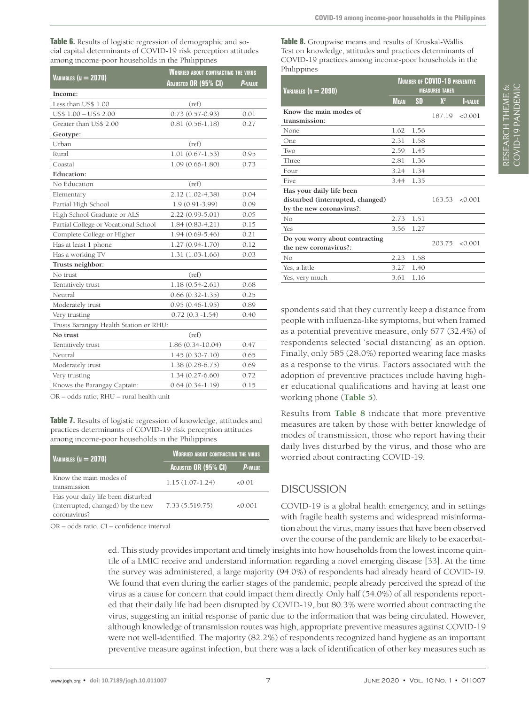<span id="page-6-0"></span>**Table 6.** Results of logistic regression of demographic and social capital determinants of COVID-19 risk perception attitudes among income-poor households in the Philippines

|                                        | <b>WORRIED ABOUT CONTRACTING THE VIRUS</b> |                |  |  |  |
|----------------------------------------|--------------------------------------------|----------------|--|--|--|
| VARIABLES ( $N = 2070$ )               | Adjusted OR (95% CI)                       | <b>P-VALUE</b> |  |  |  |
| Income:                                |                                            |                |  |  |  |
| Less than US\$ 1.00                    | (ref)                                      |                |  |  |  |
| US\$ 1.00 - US\$ 2.00                  | $0.73(0.57-0.93)$                          | 0.01           |  |  |  |
| Greater than US\$ 2.00                 | $0.81(0.56-1.18)$                          | 0.27           |  |  |  |
| Geotype:                               |                                            |                |  |  |  |
| Urban                                  | (ref)                                      |                |  |  |  |
| Rural                                  | $1.01(0.67-1.53)$                          | 0.95           |  |  |  |
| Coastal                                | $1.09(0.66 - 1.80)$                        | 0.73           |  |  |  |
| <b>Education:</b>                      |                                            |                |  |  |  |
| No Education                           | (ref)                                      |                |  |  |  |
| Elementary                             | 2.12 (1.02-4.38)                           | 0.04           |  |  |  |
| Partial High School                    | $1.9(0.91-3.99)$                           | 0.09           |  |  |  |
| High School Graduate or ALS            | 2.22 (0.99-5.01)                           | 0.05           |  |  |  |
| Partial College or Vocational School   | $1.84(0.80-4.21)$                          | 0.15           |  |  |  |
| Complete College or Higher             | $1.94(0.69-5.46)$                          | 0.21           |  |  |  |
| Has at least 1 phone                   | $1.27(0.94-1.70)$                          | 0.12           |  |  |  |
| Has a working TV                       | $1.31(1.03-1.66)$                          | 0.03           |  |  |  |
| Trusts neighbor:                       |                                            |                |  |  |  |
| No trust                               | (ref)                                      |                |  |  |  |
| Tentatively trust                      | $1.18(0.54 - 2.61)$                        | 0.68           |  |  |  |
| Neutral                                | $0.66(0.32 - 1.35)$                        | 0.25           |  |  |  |
| Moderately trust                       | $0.95(0.46-1.95)$                          | 0.89           |  |  |  |
| Very trusting                          | $0.72(0.3 - 1.54)$                         | 0.40           |  |  |  |
| Trusts Barangay Health Station or RHU: |                                            |                |  |  |  |
| No trust                               | (ref)                                      |                |  |  |  |
| Tentatively trust                      | 1.86 (0.34-10.04)                          | 0.47           |  |  |  |
| Neutral                                | $1.45(0.30-7.10)$                          | 0.65           |  |  |  |
| Moderately trust                       | 1.38 (0.28-6.75)                           | 0.69           |  |  |  |
| Very trusting                          | $1.34(0.27-6.60)$                          | 0.72           |  |  |  |
| Knows the Barangay Captain:            | $0.64(0.34-1.19)$                          | 0.15           |  |  |  |

OR – odds ratio, RHU – rural health unit

<span id="page-6-1"></span>**Table 7.** Results of logistic regression of knowledge, attitudes and practices determinants of COVID-19 risk perception attitudes among income-poor households in the Philippines

| VARIABLES ( $N = 2070$ )                                                                | <b>WORRIED ABOUT CONTRACTING THE VIRUS</b> |         |  |  |  |
|-----------------------------------------------------------------------------------------|--------------------------------------------|---------|--|--|--|
|                                                                                         | ADJUSTED OR (95% CI)                       | P-VALUE |  |  |  |
| Know the main modes of<br>transmission                                                  | $1.15(1.07-1.24)$                          | 0001    |  |  |  |
| Has your daily life been disturbed<br>(interrupted, changed) by the new<br>coronavirus? | 7.33 (5.519.75)                            | 0001    |  |  |  |

OR – odds ratio, CI – confidence interval

<span id="page-6-2"></span>**Table 8.** Groupwise means and results of Kruskal-Wallis Test on knowledge, attitudes and practices determinants of COVID-19 practices among income-poor households in the **Philippines** 

| VARIABLES ( $N = 2090$ )                                | <b>NUMBER OF COVID-19 PREVENTIVE</b><br><b>MEASURES TAKEN</b> |           |                |                |  |  |
|---------------------------------------------------------|---------------------------------------------------------------|-----------|----------------|----------------|--|--|
|                                                         | <b>MEAN</b>                                                   | <b>SD</b> | $X^2$          | <b>I-VALUE</b> |  |  |
| Know the main modes of<br>transmission:                 |                                                               |           | 187.19         | < 0.001        |  |  |
| None                                                    | 1.62                                                          | 1.56      |                |                |  |  |
| One                                                     | 2.31                                                          | 1.58      |                |                |  |  |
| Two                                                     | 2.59                                                          | 1.45      |                |                |  |  |
| Three                                                   | 2.81                                                          | 1.36      |                |                |  |  |
| Four                                                    | 3.24                                                          | 1.34      |                |                |  |  |
| Five                                                    | 3.44                                                          | 1.35      |                |                |  |  |
| Has your daily life been                                |                                                               |           |                |                |  |  |
| disturbed (interrupted, changed)                        |                                                               |           | 163.53 < 0.001 |                |  |  |
| by the new coronavirus?:                                |                                                               |           |                |                |  |  |
| No                                                      | 2.73                                                          | 1.51      |                |                |  |  |
| Yes                                                     | 3.56                                                          | 1.27      |                |                |  |  |
| Do you worry about contracting<br>the new coronavirus?: |                                                               |           | 203.75         | < 0.001        |  |  |
| No                                                      | 2.23                                                          | 1.58      |                |                |  |  |
| Yes, a little                                           | 3.27                                                          | 1.40      |                |                |  |  |
| Yes, very much                                          | 3.61                                                          | 1.16      |                |                |  |  |

spondents said that they currently keep a distance from people with influenza-like symptoms, but when framed as a potential preventive measure, only 677 (32.4%) of respondents selected 'social distancing' as an option. Finally, only 585 (28.0%) reported wearing face masks as a response to the virus. Factors associated with the adoption of preventive practices include having higher educational qualifications and having at least one working phone (**[Table](#page-5-0) 5**).

Results from **[Table](#page-6-2) 8** indicate that more preventive measures are taken by those with better knowledge of modes of transmission, those who report having their daily lives disturbed by the virus, and those who are worried about contracting COVID-19.

# DISCUSSION

COVID-19 is a global health emergency, and in settings with fragile health systems and widespread misinformation about the virus, many issues that have been observed over the course of the pandemic are likely to be exacerbat-

ed. This study provides important and timely insights into how households from the lowest income quintile of a LMIC receive and understand information regarding a novel emerging disease [[33](#page-10-7)]. At the time the survey was administered, a large majority (94.0%) of respondents had already heard of COVID-19. We found that even during the earlier stages of the pandemic, people already perceived the spread of the virus as a cause for concern that could impact them directly. Only half (54.0%) of all respondents reported that their daily life had been disrupted by COVID-19, but 80.3% were worried about contracting the virus, suggesting an initial response of panic due to the information that was being circulated. However, although knowledge of transmission routes was high, appropriate preventive measures against COVID-19 were not well-identified. The majority (82.2%) of respondents recognized hand hygiene as an important preventive measure against infection, but there was a lack of identification of other key measures such as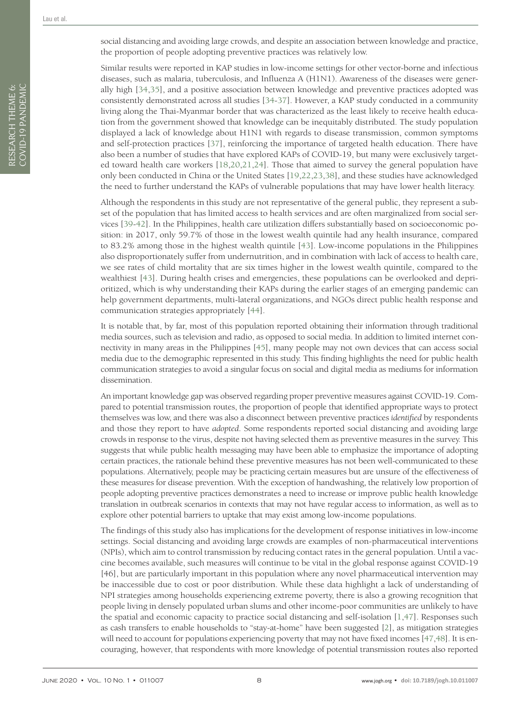RESEARCH THEME 6: COVID-19 PANDEMIC

RESEARCH THEME 6:<br>COVID-19 PANDEMIC

Similar results were reported in KAP studies in low-income settings for other vector-borne and infectious diseases, such as malaria, tuberculosis, and Influenza A (H1N1). Awareness of the diseases were generally high [[34](#page-10-8)[,35\]](#page-10-9), and a positive association between knowledge and preventive practices adopted was consistently demonstrated across all studies [\[34](#page-10-8)[-37](#page-10-10)]. However, a KAP study conducted in a community living along the Thai-Myanmar border that was characterized as the least likely to receive health education from the government showed that knowledge can be inequitably distributed. The study population displayed a lack of knowledge about H1N1 with regards to disease transmission, common symptoms and self-protection practices [[37\]](#page-10-10), reinforcing the importance of targeted health education. There have also been a number of studies that have explored KAPs of COVID-19, but many were exclusively targeted toward health care workers [\[18,](#page-9-15)[20](#page-9-18),[21,](#page-9-19)[24\]](#page-9-16). Those that aimed to survey the general population have only been conducted in China or the United States [\[19](#page-9-20)[,22](#page-9-21),[23](#page-9-22)[,38\]](#page-10-11), and these studies have acknowledged the need to further understand the KAPs of vulnerable populations that may have lower health literacy.

Although the respondents in this study are not representative of the general public, they represent a subset of the population that has limited access to health services and are often marginalized from social services [\[39](#page-10-12)[-42\]](#page-10-13). In the Philippines, health care utilization differs substantially based on socioeconomic position: in 2017, only 59.7% of those in the lowest wealth quintile had any health insurance, compared to 83.2% among those in the highest wealth quintile [\[43\]](#page-10-14). Low-income populations in the Philippines also disproportionately suffer from undernutrition, and in combination with lack of access to health care, we see rates of child mortality that are six times higher in the lowest wealth quintile, compared to the wealthiest [[43](#page-10-14)]. During health crises and emergencies, these populations can be overlooked and deprioritized, which is why understanding their KAPs during the earlier stages of an emerging pandemic can help government departments, multi-lateral organizations, and NGOs direct public health response and communication strategies appropriately [[44](#page-10-15)].

It is notable that, by far, most of this population reported obtaining their information through traditional media sources, such as television and radio, as opposed to social media. In addition to limited internet connectivity in many areas in the Philippines [\[45\]](#page-10-16), many people may not own devices that can access social media due to the demographic represented in this study. This finding highlights the need for public health communication strategies to avoid a singular focus on social and digital media as mediums for information dissemination.

An important knowledge gap was observed regarding proper preventive measures against COVID-19. Compared to potential transmission routes, the proportion of people that identified appropriate ways to protect themselves was low, and there was also a disconnect between preventive practices *identified* by respondents and those they report to have *adopted*. Some respondents reported social distancing and avoiding large crowds in response to the virus, despite not having selected them as preventive measures in the survey. This suggests that while public health messaging may have been able to emphasize the importance of adopting certain practices, the rationale behind these preventive measures has not been well-communicated to these populations. Alternatively, people may be practicing certain measures but are unsure of the effectiveness of these measures for disease prevention. With the exception of handwashing, the relatively low proportion of people adopting preventive practices demonstrates a need to increase or improve public health knowledge translation in outbreak scenarios in contexts that may not have regular access to information, as well as to explore other potential barriers to uptake that may exist among low-income populations.

The findings of this study also has implications for the development of response initiatives in low-income settings. Social distancing and avoiding large crowds are examples of non-pharmaceutical interventions (NPIs), which aim to control transmission by reducing contact rates in the general population. Until a vaccine becomes available, such measures will continue to be vital in the global response against COVID-19 [46], but are particularly important in this population where any novel pharmaceutical intervention may be inaccessible due to cost or poor distribution. While these data highlight a lack of understanding of NPI strategies among households experiencing extreme poverty, there is also a growing recognition that people living in densely populated urban slums and other income-poor communities are unlikely to have the spatial and economic capacity to practice social distancing and self-isolation [\[1](#page-9-0)[,47\]](#page-10-17). Responses such as cash transfers to enable households to "stay-at-home" have been suggested [\[2](#page-9-1)], as mitigation strategies will need to account for populations experiencing poverty that may not have fixed incomes [[47](#page-10-17),[48](#page-10-18)]. It is encouraging, however, that respondents with more knowledge of potential transmission routes also reported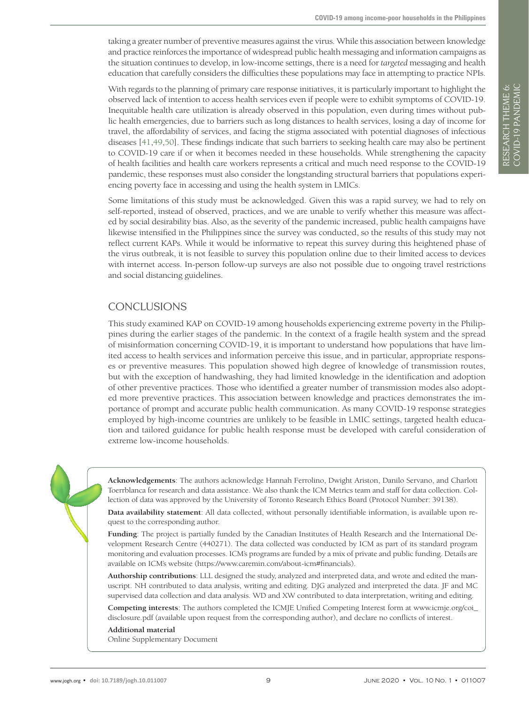taking a greater number of preventive measures against the virus. While this association between knowledge and practice reinforces the importance of widespread public health messaging and information campaigns as the situation continues to develop, in low-income settings, there is a need for *targeted* messaging and health education that carefully considers the difficulties these populations may face in attempting to practice NPIs.

With regards to the planning of primary care response initiatives, it is particularly important to highlight the observed lack of intention to access health services even if people were to exhibit symptoms of COVID-19. Inequitable health care utilization is already observed in this population, even during times without public health emergencies, due to barriers such as long distances to health services, losing a day of income for travel, the affordability of services, and facing the stigma associated with potential diagnoses of infectious diseases [\[41](#page-10-19)[,49](#page-10-20)[,50](#page-10-21)]. These findings indicate that such barriers to seeking health care may also be pertinent to COVID-19 care if or when it becomes needed in these households. While strengthening the capacity of health facilities and health care workers represents a critical and much need response to the COVID-19 pandemic, these responses must also consider the longstanding structural barriers that populations experiencing poverty face in accessing and using the health system in LMICs.

Some limitations of this study must be acknowledged. Given this was a rapid survey, we had to rely on self-reported, instead of observed, practices, and we are unable to verify whether this measure was affected by social desirability bias. Also, as the severity of the pandemic increased, public health campaigns have likewise intensified in the Philippines since the survey was conducted, so the results of this study may not reflect current KAPs. While it would be informative to repeat this survey during this heightened phase of the virus outbreak, it is not feasible to survey this population online due to their limited access to devices with internet access. In-person follow-up surveys are also not possible due to ongoing travel restrictions and social distancing guidelines.

## **CONCLUSIONS**

This study examined KAP on COVID-19 among households experiencing extreme poverty in the Philippines during the earlier stages of the pandemic. In the context of a fragile health system and the spread of misinformation concerning COVID-19, it is important to understand how populations that have limited access to health services and information perceive this issue, and in particular, appropriate responses or preventive measures. This population showed high degree of knowledge of transmission routes, but with the exception of handwashing, they had limited knowledge in the identification and adoption of other preventive practices. Those who identified a greater number of transmission modes also adopted more preventive practices. This association between knowledge and practices demonstrates the importance of prompt and accurate public health communication. As many COVID-19 response strategies employed by high-income countries are unlikely to be feasible in LMIC settings, targeted health education and tailored guidance for public health response must be developed with careful consideration of extreme low-income households.

RESEARCH THEME 6: VIEWPOINTS COVID-19 PANDEMIC

RESEARCH THEME 6:<br>COVID-19 PANDEMIC

**Acknowledgements**: The authors acknowledge Hannah Ferrolino, Dwight Ariston, Danilo Servano, and Charlott Toerrblanca for research and data assistance. We also thank the ICM Metrics team and staff for data collection. Collection of data was approved by the University of Toronto Research Ethics Board (Protocol Number: 39138).

**Data availability statement**: All data collected, without personally identifiable information, is available upon request to the corresponding author.

**Funding**: The project is partially funded by the Canadian Institutes of Health Research and the International Development Research Centre (440271). The data collected was conducted by ICM as part of its standard program monitoring and evaluation processes. ICM's programs are funded by a mix of private and public funding. Details are available on ICM's website (https://www.caremin.com/about-icm#financials).

**Authorship contributions**: LLL designed the study, analyzed and interpreted data, and wrote and edited the manuscript. NH contributed to data analysis, writing and editing. DJG analyzed and interpreted the data. JF and MC supervised data collection and data analysis. WD and XW contributed to data interpretation, writing and editing.

**Competing interests**: The authors completed the ICMJE Unified Competing Interest form at www.icmje.org/coi\_ disclosure.pdf (available upon request from the corresponding author), and declare no conflicts of interest.

# <span id="page-8-0"></span>**Additional material**

[Online Supplementary Document](http://jogh.org/documents/issue202001/jogh-10-011007-s001.pdf)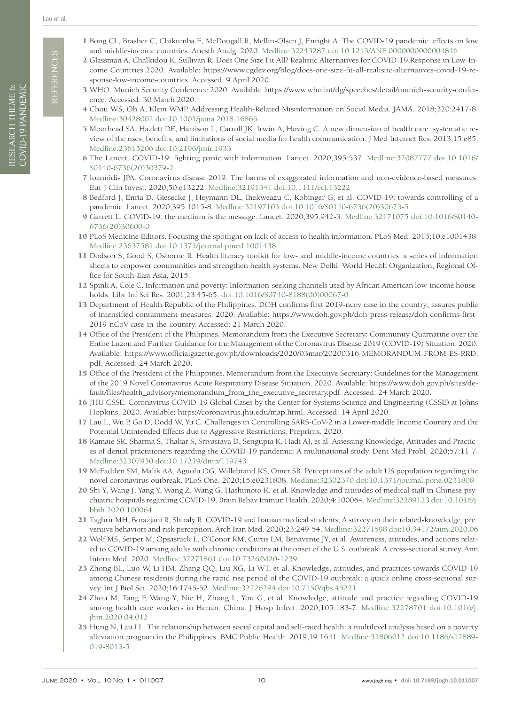**REFERENCES** REFERENCES

- <span id="page-9-1"></span><span id="page-9-0"></span>2 Glassman A, Chalkidou K, Sullivan R. Does One Size Fit All? Realistic Alternatives for COVID-19 Response in Low-Income Countries 2020. Available: https://www.cgdev.org/blog/does-one-size-fit-all-realistic-alternatives-covid-19-response-low-income-countries. Accessed: 9 April 2020.
- <span id="page-9-2"></span>3 WHO. Munich Security Conference 2020. Available: https://www.who.int/dg/speeches/detail/munich-security-conference. Accessed: 30 March 2020.
- <span id="page-9-3"></span>4 Chou WS, Oh A, Klein WMP. Addressing Health-Related Misinformation on Social Media. JAMA. 2018;320:2417-8. Medline:30428002 doi:10.1001/jama.2018.16865
- 5 Moorhead SA, Hazlett DE, Harrison L, Carroll JK, Irwin A, Hoving C. A new dimension of health care: systematic review of the uses, benefits, and limitations of social media for health communication. J Med Internet Res. 2013;15:e85. Medline:23615206 doi:10.2196/jmir.1933
- <span id="page-9-4"></span>6 The Lancet. COVID-19: fighting panic with information. Lancet. 2020;395:537. Medline:32087777 doi:10.1016/ S0140-6736(20)30379-2
- <span id="page-9-5"></span>7 Ioannidis JPA. Coronavirus disease 2019: The harms of exaggerated information and non-evidence-based measures. Eur J Clin Invest. 2020;50:e13222. Medline:32191341 doi:10.1111/eci.13222
- <span id="page-9-6"></span>8 Bedford J, Enria D, Giesecke J, Heymann DL, Ihekweazu C, Kobinger G, et al. COVID-19: towards controlling of a pandemic. Lancet. 2020;395:1015-8. Medline:32197103 doi:10.1016/S0140-6736(20)30673-5
- <span id="page-9-7"></span>9 Garrett L. COVID-19: the medium is the message. Lancet. 2020;395:942-3. Medline:32171075 doi:10.1016/S0140- 6736(20)30600-0
- <span id="page-9-8"></span>10 PLoS Medicine Editors. Focusing the spotlight on lack of access to health information. PLoS Med. 2013;10:e1001438. Medline:23637581 doi:10.1371/journal.pmed.1001438
- 11 Dodson S, Good S, Osborne R. Health literacy toolkit for low- and middle-income countries: a series of information sheets to empower communities and strengthen health systems. New Delhi: World Health Organization, Regional Office for South-East Asia, 2015.
- <span id="page-9-9"></span>12 Spink A, Cole C. Information and poverty: Information-seeking channels used by African American low-income households. Libr Inf Sci Res. 2001;23:45-65. doi:10.1016/S0740-8188(00)00067-0
- <span id="page-9-10"></span>13 Department of Health Republic of the Philippines. DOH confirms first 2019-ncov case in the country; assures public of intensified containment measures. 2020. Available: https://www.doh.gov.ph/doh-press-release/doh-confirms-first-2019-nCoV-case-in-the-country. Accessed: 21 March 2020.
- <span id="page-9-11"></span>14 Office of the President of the Philipines. Memorandum from the Executive Secretary: Community Quarnatine over the Entire Luzon and Further Guidance for the Management of the Coronavirus Disease 2019 (COVID-19) Situation. 2020. Available: [https://www.officialgazette.gov.ph/downloads/2020/03mar/20200316-MEMORANDUM-FROM-ES-RRD.](https://www.officialgazette.gov.ph/downloads/2020/03mar/20200316-MEMORANDUM-FROM-ES-RRD.pdf) [pdf.](https://www.officialgazette.gov.ph/downloads/2020/03mar/20200316-MEMORANDUM-FROM-ES-RRD.pdf) Accessed: 24 March 2020.
- <span id="page-9-12"></span>15 Office of the President of the Philippines. Memorandum from the Executive Secretary: Guidelines for the Management of the 2019 Novel Coronavirus Acute Respiratory Disease Situation. 2020. Available: https://www.doh.gov.ph/sites/default/files/health\_advisory/memorandum\_from\_the\_executive\_secretary.pdf. Accessed: 24 March 2020.
- <span id="page-9-13"></span>16 JHU CSSE. Coronavirus COVID-19 Global Cases by the Center for Systems Science and Engineering (CSSE) at Johns Hopkins. 2020. Available: https://coronavirus.jhu.edu/map.html. Accessed: 14 April 2020.
- <span id="page-9-14"></span>17 Lau L, Wu P, Go D, Dodd W, Yu C. Challenges in Controlling SARS-CoV-2 in a Lower-middle Income Country and the Potential Unintended Effects due to Aggressive Restrictions. Preprints. 2020.
- <span id="page-9-15"></span>18 Kamate SK, Sharma S, Thakar S, Srivastava D, Sengupta K, Hadi AJ, et al. Assessing Knowledge, Attitudes and Practices of dental practitioners regarding the COVID-19 pandemic: A multinational study. Dent Med Probl. 2020;57:11-7. Medline:32307930 doi:10.17219/dmp/119743
- <span id="page-9-20"></span>19 McFadden SM, Malik AA, Aguolu OG, Willebrand KS, Omer SB. Perceptions of the adult US population regarding the novel coronavirus outbreak. PLoS One. 2020;15:e0231808. Medline:32302370 doi:10.1371/journal.pone.0231808
- <span id="page-9-18"></span>20 Shi Y, Wang J, Yang Y, Wang Z, Wang G, Hashimoto K, et al. Knowledge and attitudes of medical staff in Chinese psychiatric hospitals regarding COVID-19. Brain Behav Immun Health. 2020;4:100064. Medline:32289123 doi:10.1016/j. bbih.2020.100064
- <span id="page-9-19"></span>21 Taghrir MH, Borazjani R, Shiraly R. COVID-19 and Iranian medical students; A survey on their related-knowledge, preventive behaviors and risk perception. Arch Iran Med. 2020;23:249-54. Medline:32271598 doi:10.34172/aim.2020.06
- <span id="page-9-21"></span>22 Wolf MS, Serper M, Opsasnick L, O'Conor RM, Curtis LM, Benavente JY, et al. Awareness, attitudes, and actions related to COVID-19 among adults with chronic conditions at the onset of the U.S. outbreak: A cross-sectional survey. Ann Intern Med. 2020. Medline:32271861 doi:10.7326/M20-1239
- <span id="page-9-22"></span>23 Zhong BL, Luo W, Li HM, Zhang QQ, Liu XG, Li WT, et al. Knowledge, attitudes, and practices towards COVID-19 among Chinese residents during the rapid rise period of the COVID-19 outbreak: a quick online cross-sectional survey. Int J Biol Sci. 2020;16:1745-52. Medline:32226294 doi:10.7150/ijbs.45221
- <span id="page-9-16"></span>24 Zhou M, Tang F, Wang Y, Nie H, Zhang L, You G, et al. Knowledge, attitude and practice regarding COVID-19 among health care workers in Henan, China. J Hosp Infect. 2020;105:183-7. Medline:32278701 doi:10.1016/j. jhin.2020.04.012
- <span id="page-9-17"></span>25 Hung N, Lau LL. The relationship between social capital and self-rated health: a multilevel analysis based on a poverty alleviation program in the Philippines. BMC Public Health. 2019;19:1641. Medline:31806012 doi:10.1186/s12889- 019-8013-5